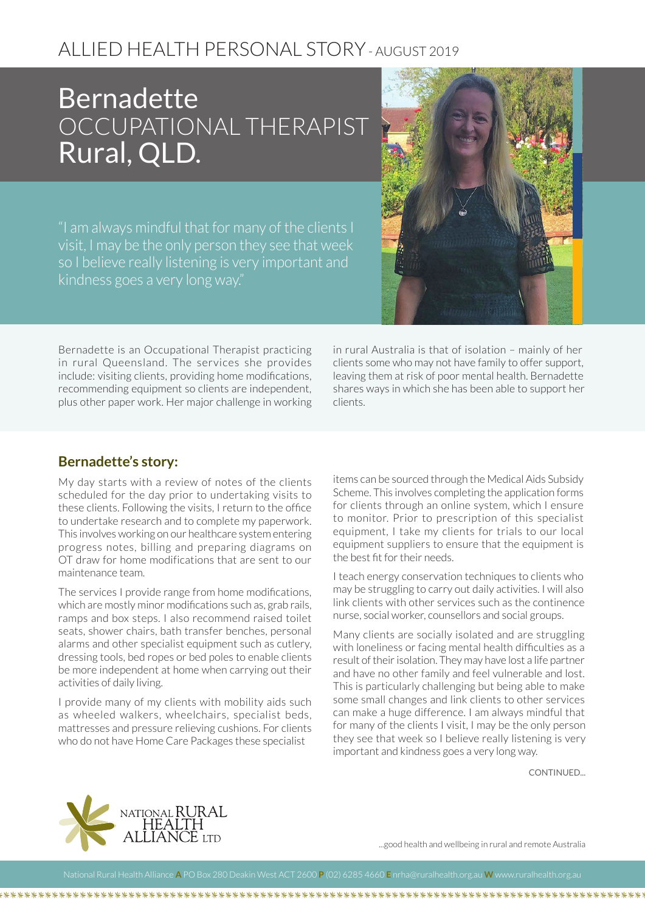## ALLIED HEALTH PERSONAL STORY - AUGUST 2019

## **Bernadette** OCCUPATIONAL THERAPIST Rural, QLD.

"I am always mindful that for many of the clients I visit, I may be the only person they see that week so I believe really listening is very important and kindness goes a very long way."



Bernadette is an Occupational Therapist practicing in rural Queensland. The services she provides include: visiting clients, providing home modifications, recommending equipment so clients are independent, plus other paper work. Her major challenge in working in rural Australia is that of isolation – mainly of her clients some who may not have family to offer support, leaving them at risk of poor mental health. Bernadette shares ways in which she has been able to support her clients.

## **Bernadette's story:**

My day starts with a review of notes of the clients scheduled for the day prior to undertaking visits to these clients. Following the visits, I return to the office to undertake research and to complete my paperwork. This involves working on our healthcare system entering progress notes, billing and preparing diagrams on OT draw for home modifications that are sent to our maintenance team.

The services I provide range from home modifications, which are mostly minor modifications such as, grab rails, ramps and box steps. I also recommend raised toilet seats, shower chairs, bath transfer benches, personal alarms and other specialist equipment such as cutlery, dressing tools, bed ropes or bed poles to enable clients be more independent at home when carrying out their activities of daily living.

I provide many of my clients with mobility aids such as wheeled walkers, wheelchairs, specialist beds, mattresses and pressure relieving cushions. For clients who do not have Home Care Packages these specialist

items can be sourced through the Medical Aids Subsidy Scheme. This involves completing the application forms for clients through an online system, which I ensure to monitor. Prior to prescription of this specialist equipment, I take my clients for trials to our local equipment suppliers to ensure that the equipment is the best fit for their needs.

I teach energy conservation techniques to clients who may be struggling to carry out daily activities. I will also link clients with other services such as the continence nurse, social worker, counsellors and social groups.

Many clients are socially isolated and are struggling with loneliness or facing mental health difficulties as a result of their isolation. They may have lost a life partner and have no other family and feel vulnerable and lost. This is particularly challenging but being able to make some small changes and link clients to other services can make a huge difference. I am always mindful that for many of the clients I visit, I may be the only person they see that week so I believe really listening is very important and kindness goes a very long way.

**CONTINUED.** 



...good health and wellbeing in rural and remote Australia